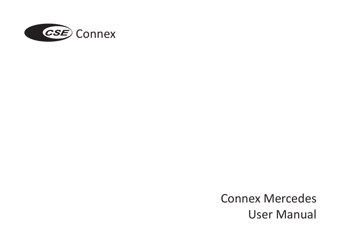

Connex Mercedes User Manual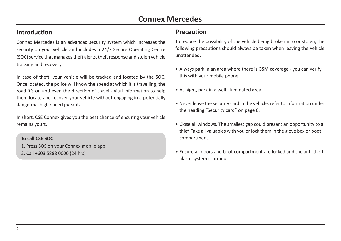### **Introduction**

Connex Mercedes is an advanced security system which increases the security on your vehicle and includes a 24/7 Secure Operating Centre (SOC) service that manages theft alerts, theft response and stolen vehicle tracking and recovery.

In case of theft, your vehicle will be tracked and located by the SOC. Once located, the police will know the speed at which it is travelling, the road it's on and even the direction of travel - vital information to help them locate and recover your vehicle without engaging in a potentially dangerous high-speed pursuit.

In short, CSE Connex gives you the best chance of ensuring your vehicle remains yours.

#### **To call CSE SOC**

- 1. Press SOS on your Connex mobile app
- 2. Call +603 5888 0000 (24 hrs)

### **Precaution**

To reduce the possibility of the vehicle being broken into or stolen, the following precautions should always be taken when leaving the vehicle unattended.

- Always park in an area where there is GSM coverage you can verify this with your mobile phone.
- At night, park in a well illuminated area.
- Never leave the security card in the vehicle, refer to information under the heading "Security card" on page 6.
- Close all windows. The smallest gap could present an opportunity to a thief. Take all valuables with you or lock them in the glove box or boot compartment.
- Ensure all doors and boot compartment are locked and the anti-theft alarm system is armed.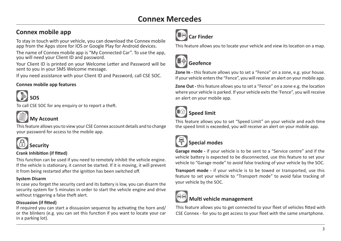## **Connex mobile app**<br> **Car Finder**

To stay in touch with your vehicle, you can download the Connex mobile app from the Apps store for IOS or Google Play for Android devices.

The name of Connex mobile app is "My Connected Car". To use the app, you will need your Client ID and password.

Your Client ID is printed on your Welcome Letter and Password will be sent to you in your SMS Welcome message.

If you need assistance with your Client ID and Password, call CSE SOC.

#### **Connex mobile app features**



To call CSE SOC for any enquiry or to report a theft.



### **My Account**

This feature allows you to view your CSE Connex account details and to change your password for access to the mobile app.



### **Security**

#### **Crank Inhibition (if fitted)**

This function can be used if you need to remotely inhibit the vehicle engine. If the vehicle is stationary, it cannot be started. If it is moving, it will prevent it from being restarted after the ignition has been switched off.

#### **System Disarm**

In case you forget the security card and its battery is low, you can disarm the security system for 5 minutes in order to start the vehicle engine and drive without triggering a false theft alert.

#### **Dissuasion (if fitted)**

If required you can start a dissuasion sequence by activating the horn and/ or the blinkers (e.g. you can set this function if you want to locate your car in a parking lot).



This feature allows you to locate your vehicle and view its location on a map.



### **Geofence**

**Zone In -** this feature allows you to set a "Fence" on a zone, e.g. your house. If your vehicle enters the "Fence", you will receive an alert on your mobile app.

**Zone Out -** this feature allows you to set a "Fence" on a zone e.g. the location where your vehicle is parked. If your vehicle exits the 'Fence", you will receive an alert on your mobile app.



### **Speed limit**

This feature allows you to set "Speed Limit" on your vehicle and each time the speed limit is exceeded, you will receive an alert on your mobile app.



### **Special modes**

**Garage mode -** if your vehicle is to be sent to a "Service centre" and if the vehicle battery is expected to be disconnected, use this feature to set your vehicle to "Garage mode" to avoid false tracking of your vehicle by the SOC.

**Transport mode -** if your vehicle is to be towed or transported, use this feature to set your vehicle to "Transport mode" to avoid false tracking of your vehicle by the SOC.



### **Multi vehicle management**

This feature allows you to get connected to your fleet of vehicles fitted with CSE Connex - for you to get access to your fleet with the same smartphone.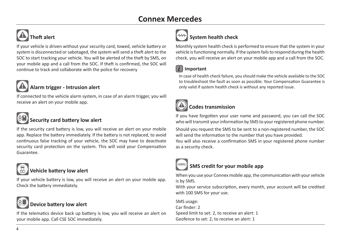### **Connex Mercedes**

# **Theft alert**

If your vehicle is driven without your security card, towed, vehicle battery or system is disconnected or sabotaged, the system will send a theft alert to the SOC to start tracking your vehicle. You will be alerted of the theft by SMS, on your mobile app and a call from the SOC. If theft is confirmed, the SOC will continue to track and collaborate with the police for recovery

### **Alarm trigger - Intrusion alert**

If connected to the vehicle alarm system, in case of an alarm trigger, you will receive an alert on your mobile app.



### **Security card battery low alert**

If the security card battery is low, you will receive an alert on your mobile app. Replace the battery immediately. If the battery is not replaced, to avoid continuous false tracking of your vehicle, the SOC may have to deactivate security card protection on the system. This will void your Compensation Guarantee.



### **Vehicle battery low alert**

If your vehicle battery is low, you will receive an alert on your mobile app. Check the battery immediately.

### **Device battery low alert**

If the telematics device back up battery is low, you will receive an alert on your mobile app. Call CSE SOC immediately.

# **System health check**

Monthly system health check is performed to ensure that the system in your vehicle is functioning normally. If the system fails to respond during the health check, you will receive an alert on your mobile app and a call from the SOC.

### *i* **Important**

In case of health check failure, you should make the vehicle available to the SOC to troubleshoot the fault as soon as possible. Your Compensation Guarantee is only valid if system health check is without any reported issue.

## **Codes transmission**

If you have forgotten your user name and password, you can call the SOC who will transmit your information by SMS to your registered phone number.

Should you request the SMS to be sent to a non-registered number, the SOC will send the information to the number that you have provided.

You will also receive a confirmation SMS in your registered phone number as a security check.



### **SMS credit for your mobile app**

When you use your Connex mobile app, the communication with your vehicle is by SMS.

With your service subscription, every month, your account will be credited with 100 SMS for your use.

SMS usage: Car finder: 2 Speed limit to set: 2, to receive an alert: 1 Geofence to set: 2, to receive an alert: 1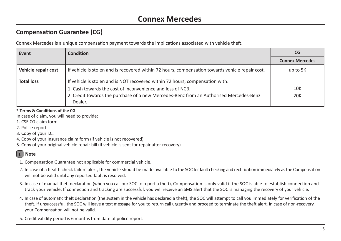### **Compensation Guarantee (CG)**

Connex Mercedes is a unique compensation payment towards the implications associated with vehicle theft.

| Event               | <b>Condition</b>                                                                                                                                                                                                                                 | <b>CG</b>              |
|---------------------|--------------------------------------------------------------------------------------------------------------------------------------------------------------------------------------------------------------------------------------------------|------------------------|
|                     |                                                                                                                                                                                                                                                  | <b>Connex Mercedes</b> |
| Vehicle repair cost | If vehicle is stolen and is recovered within 72 hours, compensation towards vehicle repair cost.                                                                                                                                                 | up to 5K               |
| <b>Total loss</b>   | If vehicle is stolen and is NOT recovered within 72 hours, compensation with:<br>1. Cash towards the cost of inconvenience and loss of NCB.<br>2. Credit towards the purchase of a new Mercedes-Benz from an Authorised Mercedes-Benz<br>Dealer. | 10K<br><b>20K</b>      |

**\* Terms & Conditions of the CG**

In case of claim, you will need to provide:

- 1. CSE CG claim form
- 2. Police report
- 3. Copy of your I.C.
- 4. Copy of your Insurance claim form (if vehicle is not recovered)

5. Copy of your original vehicle repair bill (if vehicle is sent for repair after recovery)

### *i* **Note**

- 1. Compensation Guarantee not applicable for commercial vehicle.
- 2. In case of a health check failure alert, the vehicle should be made available to the SOC for fault checking and rectification immediately as the Compensation will not be valid until any reported fault is resolved.
- 3. In case of manual theft declaration (when you call our SOC to report a theft), Compensation is only valid if the SOC is able to establish connection and track your vehicle. If connection and tracking are successful, you will receive an SMS alert that the SOC is managing the recovery of your vehicle.
- 4. In case of automatic theft declaration (the system in the vehicle has declared a theft), the SOC will attempt to call you immediately for verification of the theft. If unsuccessful, the SOC will leave a text message for you to return call urgently and proceed to terminate the theft alert. In case of non-recovery, your Compensation will not be valid.
- 5. Credit validity period is 6 months from date of police report.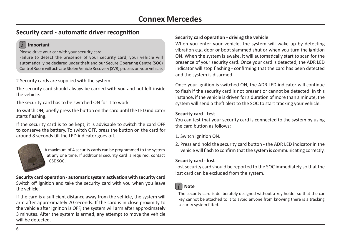### **Security card - automatic driver recognition**

#### *i* **Important**

Please drive your car with your security card.

Failure to detect the presence of your security card, your vehicle will automatically be declared under theft and our Secure Operating Centre (SOC) Control Room will activate Stolen Vehicle Recovery (SVR) process on your vehicle.

2 Security cards are supplied with the system.

The security card should always be carried with you and not left inside the vehicle.

The security card has to be switched ON for it to work.

To switch ON, briefly press the button on the card until the LED indicator starts flashing.

If the security card is to be kept, it is advisable to switch the card OFF to conserve the battery. To switch OFF, press the button on the card for around 8 seconds till the LED indicator goes off.



A maximum of 4 security cards can be programmed to the system at any one time. If additional security card is required, contact CSE SOC.

**Security card operation - automatic system activation with security card** Switch off ignition and take the security card with you when you leave the vehicle.

If the card is a sufficient distance away from the vehicle, the system will arm after approximately 70 seconds. If the card is in close proximity to the vehicle after ignition is OFF, the system will arm after approximately 3 minutes. After the system is armed, any attempt to move the vehicle will be detected.

#### **Security card operation - driving the vehicle**

When you enter your vehicle, the system will wake up by detecting vibration e.g. door or boot slammed shut or when you turn the ignition ON. When the system is awake, it will automatically start to scan for the presence of your security card. Once your card is detected, the ADR LED indicator will stop flashing - confirming that the card has been detected and the system is disarmed.

Once your ignition is switched ON, the ADR LED indicator will continue to flash if the security card is not present or cannot be detected. In this instance, if the vehicle is driven for a duration of more than a minute, the system will send a theft alert to the SOC to start tracking your vehicle.

#### **Security card - test**

You can test that your security card is connected to the system by using the card button as follows:

- 1. Switch ignition ON.
- 2. Press and hold the security card button the ADR LED indicator in the vehicle will flash to confirm that the system is communicating correctly.

#### **Security card - lost**

Lost security card should be reported to the SOC immediately so that the lost card can be excluded from the system.

### *i* **Note**

The security card is deliberately designed without a key holder so that the car key cannot be attached to it to avoid anyone from knowing there is a tracking security system fitted.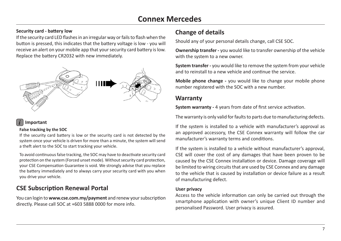### **Connex Mercedes**

### **Change of details Security card - battery low**

If the security card LED flashes in an irregular way or fails to flash when the button is pressed, this indicates that the battery voltage is low - you will receive an alert on your mobile app that your security card battery is low. Replace the battery CR2032 with new immediately.



### *i* **Important**

#### **False tracking by the SOC**

If the security card battery is low or the security card is not detected by the system once your vehicle is driven for more than a minute, the system will send a theft alert to the SOC to start tracking your vehicle.

To avoid continuous false tracking, the SOC may have to deactivate security card protection on the system (Forced unset mode). Without security card protection, your CSE Compensation Guarantee is void. We strongly advise that you replace the battery immediately and to always carry your security card with you when you drive your vehicle.

### **CSE Subscription Renewal Portal**

You can login to **www.cse.com.my/payment** and renew your subscription directly. Please call SOC at +603 5888 0000 for more info.

Should any of your personal details change, call CSE SOC.

**Ownership transfer -** you would like to transfer ownership of the vehicle with the system to a new owner.

**System transfer -** you would like to remove the system from your vehicle and to reinstall to a new vehicle and continue the service.

**Mobile phone change -** you would like to change your mobile phone number registered with the SOC with a new number.

### **Warranty**

**System warranty -** 4 years from date of first service activation.

The warranty is only valid for faults to parts due to manufacturing defects.

If the system is installed to a vehicle with manufacturer's approval as an approved accessory, the CSE Connex warranty will follow the car manufacturer's warranty terms and conditions.

If the system is installed to a vehicle without manufacturer's approval, CSE will cover the cost of any damages that have been proven to be caused by the CSE Connex installation or device. Damage coverage will be limited to wiring circuits that are used by CSE Connex and any damage to the vehicle that is caused by installation or device failure as a result of manufacturing defect.

#### **User privacy**

Access to the vehicle information can only be carried out through the smartphone application with owner's unique Client ID number and personalised Password. User privacy is assured.